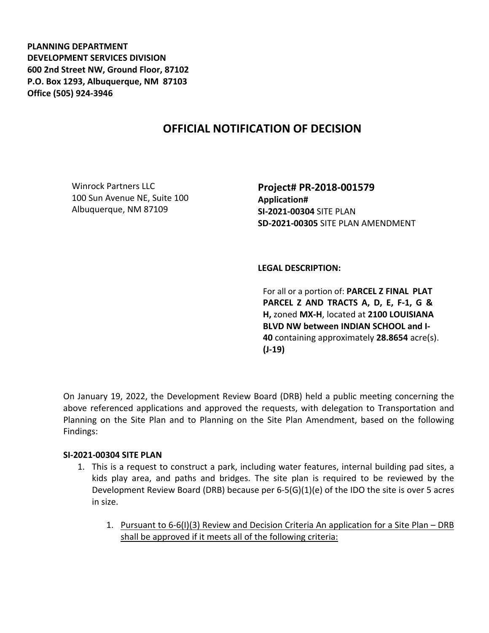**PLANNING DEPARTMENT DEVELOPMENT SERVICES DIVISION 600 2nd Street NW, Ground Floor, 87102 P.O. Box 1293, Albuquerque, NM 87103 Office (505) 924-3946** 

# **OFFICIAL NOTIFICATION OF DECISION**

Winrock Partners LLC 100 Sun Avenue NE, Suite 100 Albuquerque, NM 87109

**Project# PR-2018-001579 Application# SI-2021-00304** SITE PLAN **SD-2021-00305** SITE PLAN AMENDMENT

# **LEGAL DESCRIPTION:**

For all or a portion of: **PARCEL Z FINAL PLAT PARCEL Z AND TRACTS A, D, E, F-1, G & H,** zoned **MX-H**, located at **2100 LOUISIANA BLVD NW between INDIAN SCHOOL and I-40** containing approximately **28.8654** acre(s). **(J-19)**

On January 19, 2022, the Development Review Board (DRB) held a public meeting concerning the above referenced applications and approved the requests, with delegation to Transportation and Planning on the Site Plan and to Planning on the Site Plan Amendment, based on the following Findings:

#### **SI-2021-00304 SITE PLAN**

- 1. This is a request to construct a park, including water features, internal building pad sites, a kids play area, and paths and bridges. The site plan is required to be reviewed by the Development Review Board (DRB) because per 6-5(G)(1)(e) of the IDO the site is over 5 acres in size.
	- 1. Pursuant to 6-6(I)(3) Review and Decision Criteria An application for a Site Plan DRB shall be approved if it meets all of the following criteria: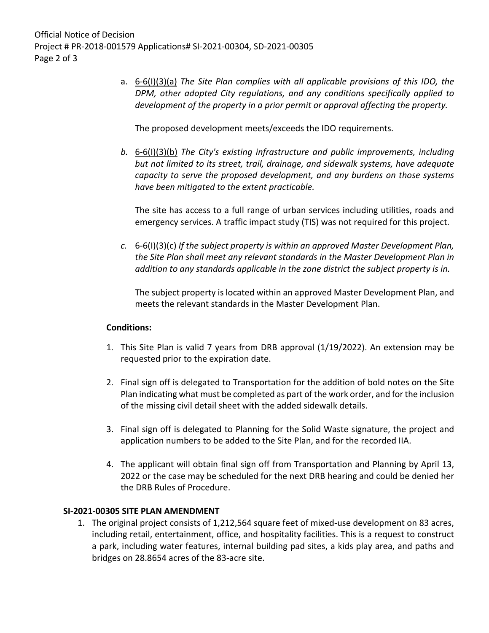a. 6-6(I)(3)(a) *The Site Plan complies with all applicable provisions of this IDO, the DPM, other adopted City regulations, and any conditions specifically applied to development of the property in a prior permit or approval affecting the property.*

The proposed development meets/exceeds the IDO requirements.

*b.* 6-6(I)(3)(b) *The City's existing infrastructure and public improvements, including but not limited to its street, trail, drainage, and sidewalk systems, have adequate capacity to serve the proposed development, and any burdens on those systems have been mitigated to the extent practicable.* 

The site has access to a full range of urban services including utilities, roads and emergency services. A traffic impact study (TIS) was not required for this project.

*c.* 6-6(I)(3)(c) *If the subject property is within an approved Master Development Plan, the Site Plan shall meet any relevant standards in the Master Development Plan in addition to any standards applicable in the zone district the subject property is in.*

The subject property is located within an approved Master Development Plan, and meets the relevant standards in the Master Development Plan.

# **Conditions:**

- 1. This Site Plan is valid 7 years from DRB approval (1/19/2022). An extension may be requested prior to the expiration date.
- 2. Final sign off is delegated to Transportation for the addition of bold notes on the Site Plan indicating what must be completed as part of the work order, and for the inclusion of the missing civil detail sheet with the added sidewalk details.
- 3. Final sign off is delegated to Planning for the Solid Waste signature, the project and application numbers to be added to the Site Plan, and for the recorded IIA.
- 4. The applicant will obtain final sign off from Transportation and Planning by April 13, 2022 or the case may be scheduled for the next DRB hearing and could be denied her the DRB Rules of Procedure.

# **SI-2021-00305 SITE PLAN AMENDMENT**

1. The original project consists of 1,212,564 square feet of mixed-use development on 83 acres, including retail, entertainment, office, and hospitality facilities. This is a request to construct a park, including water features, internal building pad sites, a kids play area, and paths and bridges on 28.8654 acres of the 83-acre site.